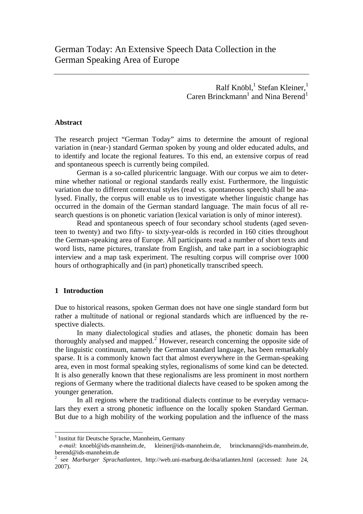Ralf Knöbl,<sup>1</sup> Stefan Kleiner,<sup>1</sup> Caren Brinckmann<sup>[1](#page-0-0)</sup> and Nina Berend<sup>1</sup>

### **Abstract**

The research project "German Today" aims to determine the amount of regional variation in (near-) standard German spoken by young and older educated adults, and to identify and locate the regional features. To this end, an extensive corpus of read and spontaneous speech is currently being compiled.

German is a so-called pluricentric language. With our corpus we aim to determine whether national or regional standards really exist. Furthermore, the linguistic variation due to different contextual styles (read vs. spontaneous speech) shall be analysed. Finally, the corpus will enable us to investigate whether linguistic change has occurred in the domain of the German standard language. The main focus of all research questions is on phonetic variation (lexical variation is only of minor interest).

Read and spontaneous speech of four secondary school students (aged seventeen to twenty) and two fifty- to sixty-year-olds is recorded in 160 cities throughout the German-speaking area of Europe. All participants read a number of short texts and word lists, name pictures, translate from English, and take part in a sociobiographic interview and a map task experiment. The resulting corpus will comprise over 1000 hours of orthographically and (in part) phonetically transcribed speech.

## **1 Introduction**

l

Due to historical reasons, spoken German does not have one single standard form but rather a multitude of national or regional standards which are influenced by the respective dialects.

In many dialectological studies and atlases, the phonetic domain has been thoroughly analysed and mapped.<sup>[2](#page-0-1)</sup> However, research concerning the opposite side of the linguistic continuum, namely the German standard language, has been remarkably sparse. It is a commonly known fact that almost everywhere in the German-speaking area, even in most formal speaking styles, regionalisms of some kind can be detected. It is also generally known that these regionalisms are less prominent in most northern regions of Germany where the traditional dialects have ceased to be spoken among the younger generation.

In all regions where the traditional dialects continue to be everyday vernaculars they exert a strong phonetic influence on the locally spoken Standard German. But due to a high mobility of the working population and the influence of the mass

<sup>&</sup>lt;sup>1</sup> Institut für Deutsche Sprache, Mannheim, Germany

<span id="page-0-0"></span>*e-mail*: knoebl@ids-mannheim.de, kleiner@ids-mannheim.de, brinckmann@ids-mannheim.de, berend@ids-mannheim.de

<span id="page-0-1"></span><sup>2</sup> see *Marburger Sprachatlanten*, http://web.uni-marburg.de/dsa/atlanten.html (accessed: June 24, 2007).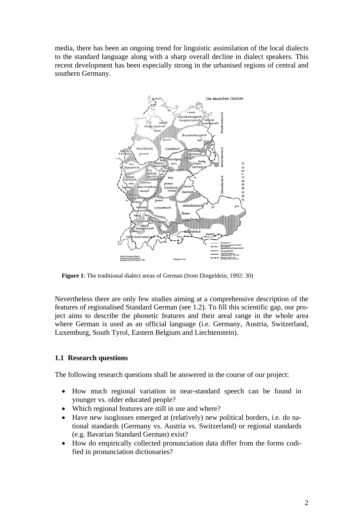media, there has been an ongoing trend for linguistic assimilation of the local dialects to the standard language along with a sharp overall decline in dialect speakers. This recent development has been especially strong in the urbanised regions of central and southern Germany.



**Figure 1**: The traditional dialect areas of German (from Dingeldein, 1992: 30)

Nevertheless there are only few studies aiming at a comprehensive description of the features of regionalised Standard German (see 1.2). To fill this scientific gap, our project aims to describe the phonetic features and their areal range in the whole area where German is used as an official language (i.e. Germany, Austria, Switzerland, Luxemburg, South Tyrol, Eastern Belgium and Liechtenstein).

# **1.1 Research questions**

The following research questions shall be answered in the course of our project:

- How much regional variation in near-standard speech can be found in younger vs. older educated people?
- Which regional features are still in use and where?
- Have new isoglosses emerged at (relatively) new political borders, i.e. do national standards (Germany vs. Austria vs. Switzerland) or regional standards (e.g. Bavarian Standard German) exist?
- How do empirically collected pronunciation data differ from the forms codified in pronunciation dictionaries?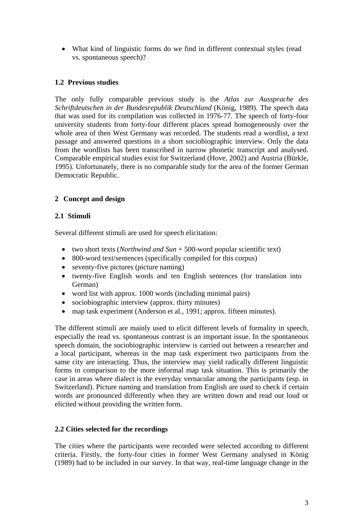• What kind of linguistic forms do we find in different contextual styles (read vs. spontaneous speech)?

# **1.2 Previous studies**

The only fully comparable previous study is the *Atlas zur Aussprache des Schriftdeutschen in der Bundesrepublik Deutschland* (König, 1989). The speech data that was used for its compilation was collected in 1976-77. The speech of forty-four university students from forty-four different places spread homogeneously over the whole area of then West Germany was recorded. The students read a wordlist, a text passage and answered questions in a short sociobiographic interview. Only the data from the wordlists has been transcribed in narrow phonetic transcript and analysed. Comparable empirical studies exist for Switzerland (Hove, 2002) and Austria (Bürkle, 1995). Unfortunately, there is no comparable study for the area of the former German Democratic Republic.

# **2 Concept and design**

# **2.1 Stimuli**

Several different stimuli are used for speech elicitation:

- two short texts (*Northwind and Sun* + 500-word popular scientific text)
- 800-word text/sentences (specifically compiled for this corpus)
- seventy-five pictures (picture naming)
- twenty-five English words and ten English sentences (for translation into German)
- word list with approx. 1000 words (including minimal pairs)
- sociobiographic interview (approx. thirty minutes)
- map task experiment (Anderson et al., 1991; approx. fifteen minutes).

The different stimuli are mainly used to elicit different levels of formality in speech, especially the read vs. spontaneous contrast is an important issue. In the spontaneous speech domain, the sociobiographic interview is carried out between a researcher and a local participant, whereas in the map task experiment two participants from the same city are interacting. Thus, the interview may yield radically different linguistic forms in comparison to the more informal map task situation. This is primarily the case in areas where dialect is the everyday vernacular among the participants (esp. in Switzerland). Picture naming and translation from English are used to check if certain words are pronounced differently when they are written down and read out loud or elicited without providing the written form.

# **2.2 Cities selected for the recordings**

The cities where the participants were recorded were selected according to different criteria. Firstly, the forty-four cities in former West Germany analysed in König (1989) had to be included in our survey. In that way, real-time language change in the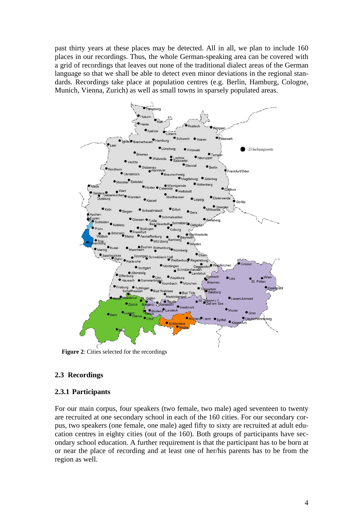past thirty years at these places may be detected. All in all, we plan to include 160 places in our recordings. Thus, the whole German-speaking area can be covered with a grid of recordings that leaves out none of the traditional dialect areas of the German language so that we shall be able to detect even minor deviations in the regional standards. Recordings take place at population centres (e.g. Berlin, Hamburg, Cologne, Munich, Vienna, Zurich) as well as small towns in sparsely populated areas.



# **2.3 Recordings**

# **2.3.1 Participants**

For our main corpus, four speakers (two female, two male) aged seventeen to twenty are recruited at one secondary school in each of the 160 cities. For our secondary corpus, two speakers (one female, one male) aged fifty to sixty are recruited at adult education centres in eighty cities (out of the 160). Both groups of participants have secondary school education. A further requirement is that the participant has to be born at or near the place of recording and at least one of her/his parents has to be from the region as well.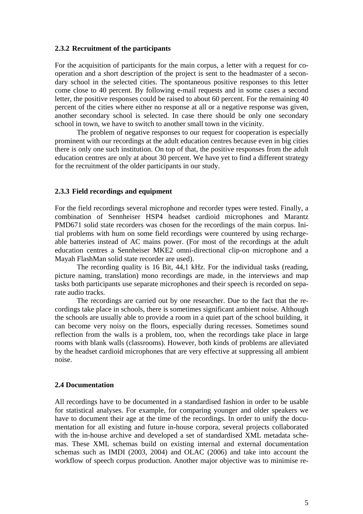### **2.3.2 Recruitment of the participants**

For the acquisition of participants for the main corpus, a letter with a request for cooperation and a short description of the project is sent to the headmaster of a secondary school in the selected cities. The spontaneous positive responses to this letter come close to 40 percent. By following e-mail requests and in some cases a second letter, the positive responses could be raised to about 60 percent. For the remaining 40 percent of the cities where either no response at all or a negative response was given, another secondary school is selected. In case there should be only one secondary school in town, we have to switch to another small town in the vicinity.

The problem of negative responses to our request for cooperation is especially prominent with our recordings at the adult education centres because even in big cities there is only one such institution. On top of that, the positive responses from the adult education centres are only at about 30 percent. We have yet to find a different strategy for the recruitment of the older participants in our study.

### **2.3.3 Field recordings and equipment**

For the field recordings several microphone and recorder types were tested. Finally, a combination of Sennheiser HSP4 headset cardioid microphones and Marantz PMD671 solid state recorders was chosen for the recordings of the main corpus. Initial problems with hum on some field recordings were countered by using rechargeable batteries instead of AC mains power. (For most of the recordings at the adult education centres a Sennheiser MKE2 omni-directional clip-on microphone and a Mayah FlashMan solid state recorder are used).

The recording quality is 16 Bit, 44,1 kHz. For the individual tasks (reading, picture naming, translation) mono recordings are made, in the interviews and map tasks both participants use separate microphones and their speech is recorded on separate audio tracks.

The recordings are carried out by one researcher. Due to the fact that the recordings take place in schools, there is sometimes significant ambient noise. Although the schools are usually able to provide a room in a quiet part of the school building, it can become very noisy on the floors, especially during recesses. Sometimes sound reflection from the walls is a problem, too, when the recordings take place in large rooms with blank walls (classrooms). However, both kinds of problems are alleviated by the headset cardioid microphones that are very effective at suppressing all ambient noise.

## **2.4 Documentation**

All recordings have to be documented in a standardised fashion in order to be usable for statistical analyses. For example, for comparing younger and older speakers we have to document their age at the time of the recordings. In order to unify the documentation for all existing and future in-house corpora, several projects collaborated with the in-house archive and developed a set of standardised XML metadata schemas. These XML schemas build on existing internal and external documentation schemas such as IMDI (2003, 2004) and OLAC (2006) and take into account the workflow of speech corpus production. Another major objective was to minimise re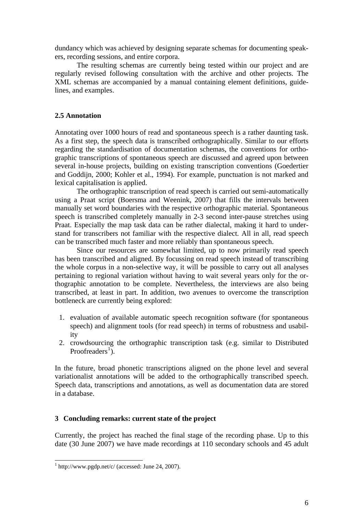dundancy which was achieved by designing separate schemas for documenting speakers, recording sessions, and entire corpora.

The resulting schemas are currently being tested within our project and are regularly revised following consultation with the archive and other projects. The XML schemas are accompanied by a manual containing element definitions, guidelines, and examples.

## **2.5 Annotation**

Annotating over 1000 hours of read and spontaneous speech is a rather daunting task. As a first step, the speech data is transcribed orthographically. Similar to our efforts regarding the standardisation of documentation schemas, the conventions for orthographic transcriptions of spontaneous speech are discussed and agreed upon between several in-house projects, building on existing transcription conventions (Goedertier and Goddijn, 2000; Kohler et al., 1994). For example, punctuation is not marked and lexical capitalisation is applied.

The orthographic transcription of read speech is carried out semi-automatically using a Praat script (Boersma and Weenink, 2007) that fills the intervals between manually set word boundaries with the respective orthographic material. Spontaneous speech is transcribed completely manually in 2-3 second inter-pause stretches using Praat. Especially the map task data can be rather dialectal, making it hard to understand for transcribers not familiar with the respective dialect. All in all, read speech can be transcribed much faster and more reliably than spontaneous speech.

Since our resources are somewhat limited, up to now primarily read speech has been transcribed and aligned. By focussing on read speech instead of transcribing the whole corpus in a non-selective way, it will be possible to carry out all analyses pertaining to regional variation without having to wait several years only for the orthographic annotation to be complete. Nevertheless, the interviews are also being transcribed, at least in part. In addition, two avenues to overcome the transcription bottleneck are currently being explored:

- 1. evaluation of available automatic speech recognition software (for spontaneous speech) and alignment tools (for read speech) in terms of robustness and usability
- 2. crowdsourcing the orthographic transcription task (e.g. similar to Distributed Proofreaders<sup>[1](#page-5-0)</sup>).

In the future, broad phonetic transcriptions aligned on the phone level and several variationalist annotations will be added to the orthographically transcribed speech. Speech data, transcriptions and annotations, as well as documentation data are stored in a database.

## **3 Concluding remarks: current state of the project**

Currently, the project has reached the final stage of the recording phase. Up to this date (30 June 2007) we have made recordings at 110 secondary schools and 45 adult

<span id="page-5-0"></span> 1 http://www.pgdp.net/c/ (accessed: June 24, 2007).